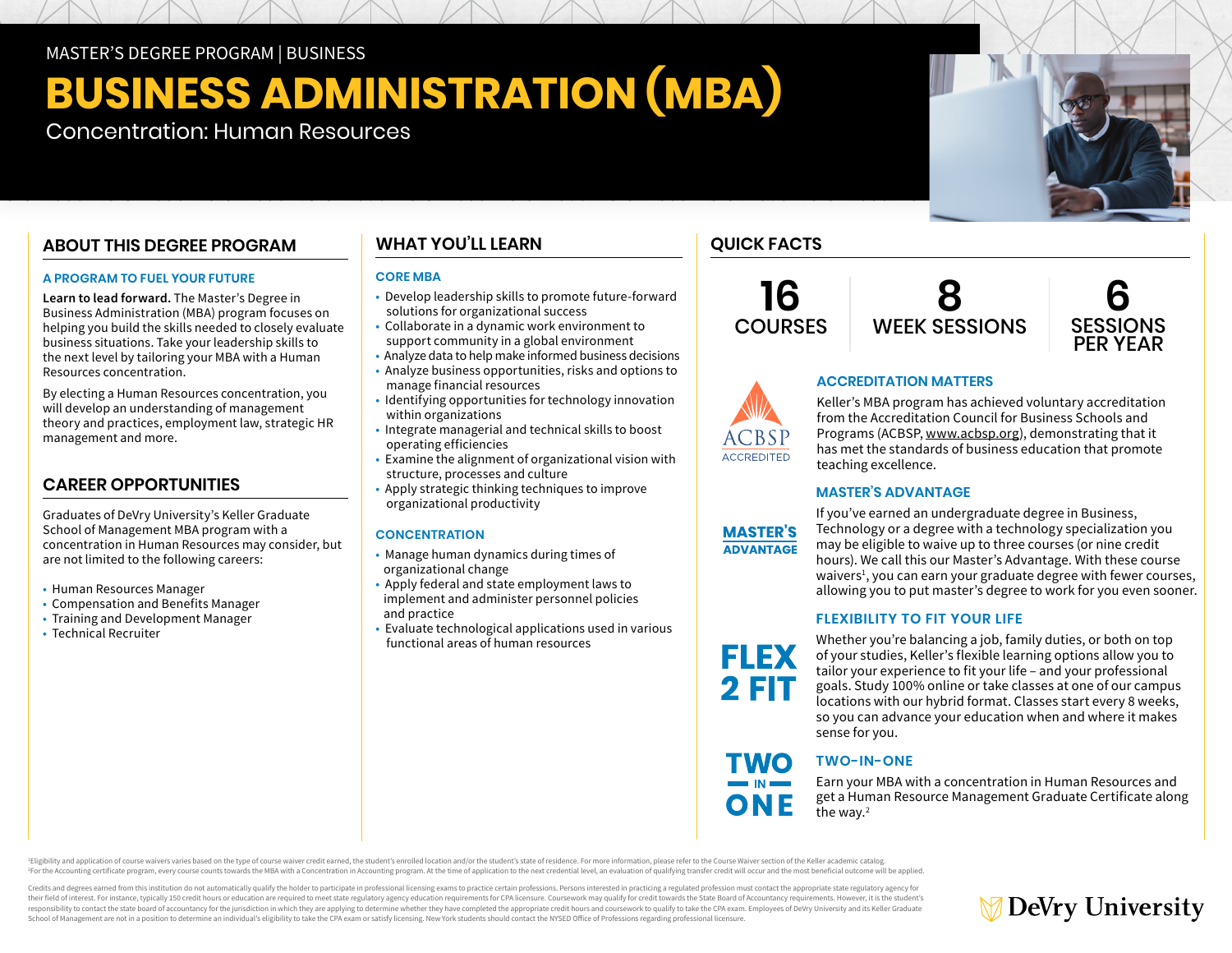MASTER'S DEGREE PROGRAM | BUSINESS

# **BUSINESS ADMINISTRATION (MBA)**

Concentration: Human Resources

# **ABOUT THIS DEGREE PROGRAM**

## **A PROGRAM TO FUEL YOUR FUTURE**

**Learn to lead forward.** The Master's Degree in Business Administration (MBA) program focuses on helping you build the skills needed to closely evaluate business situations. Take your leadership skills to the next level by tailoring your MBA with a Human Resources concentration.

By electing a Human Resources concentration, you will develop an understanding of management theory and practices, employment law, strategic HR management and more.

# **CAREER OPPORTUNITIES**

Graduates of DeVry University's Keller Graduate School of Management MBA program with a concentration in Human Resources may consider, but are not limited to the following careers:

- Human Resources Manager
- Compensation and Benefits Manager
- Training and Development Manager
- Technical Recruiter

# **WHAT YOU'LL LEARN**

## **CORE MBA**

- Develop leadership skills to promote future-forward solutions for organizational success
- Collaborate in a dynamic work environment to support community in a global environment
- Analyze data to help make informed business decisions
- Analyze business opportunities, risks and options to manage financial resources
- Identifying opportunities for technology innovation within organizations
- Integrate managerial and technical skills to boost operating efficiencies
- Examine the alignment of organizational vision with structure, processes and culture
- Apply strategic thinking techniques to improve organizational productivity

# **CONCENTRATION**

- Manage human dynamics during times of organizational change
- Apply federal and state employment laws to implement and administer personnel policies and practice
- Evaluate technological applications used in various functional areas of human resources

# **QUICK FACTS**

**16 COURSES** 







## **ACCREDITATION MATTERS**

Keller's MBA program has achieved voluntary accreditation from the Accreditation Council for Business Schools and Programs (ACBSP, [www.acbsp.org](https://www.acbsp.org)), demonstrating that it has met the standards of business education that promote teaching excellence.

## **MASTER'S ADVANTAGE**



**FLEX 2 FIT** 

**TWO** 

ONE

If you've earned an undergraduate degree in Business, Technology or a degree with a technology specialization you may be eligible to waive up to three courses (or nine credit hours). We call this our Master's Advantage. With these course waivers<sup>1</sup>, you can earn your graduate degree with fewer courses, allowing you to put master's degree to work for you even sooner.

## **FLEXIBILITY TO FIT YOUR LIFE**

Whether you're balancing a job, family duties, or both on top of your studies, Keller's flexible learning options allow you to tailor your experience to fit your life – and your professional goals. Study 100% online or take classes at one of our campus locations with our hybrid format. Classes start every 8 weeks, so you can advance your education when and where it makes sense for you.

# **TWO-IN-ONE**

Earn your MBA with a concentration in Human Resources and get a Human Resource Management Graduate Certificate along the way.<sup>2</sup>

Eligibility and application of course waivers varies based on the type of course waiver credit earned, the student's enrolled location and/or the student's state of residence. For more information, please refer to the Cour For the Accounting certificate program, every course counts towards the MBA with a Concentration in Accounting program. At the time of application to the next credential level, an evaluation of qualifying transfer credit w

Credits and degrees earned from this institution do not automatically qualify the holder to participate in professional licensing exams to practice certain professions. Persons interested in practicing a regulated professi their field of interest. For instance, typically 150 credit hours or education are required to meet state regulatory agency education requirements for CPA licensure. Coursework may qualify for credit towards the State Boar responsibility to contact the state board of accountancy for the jurisdiction in which they are applying to determine whether they have completed the appropriate credit hours and coursework to qualify to take the CPA exam. School of Management are not in a position to determine an individual's eligibility to take the CPA exam or satisfy licensing. New York students should contact the NYSED Office of Professions regarding professional licensu